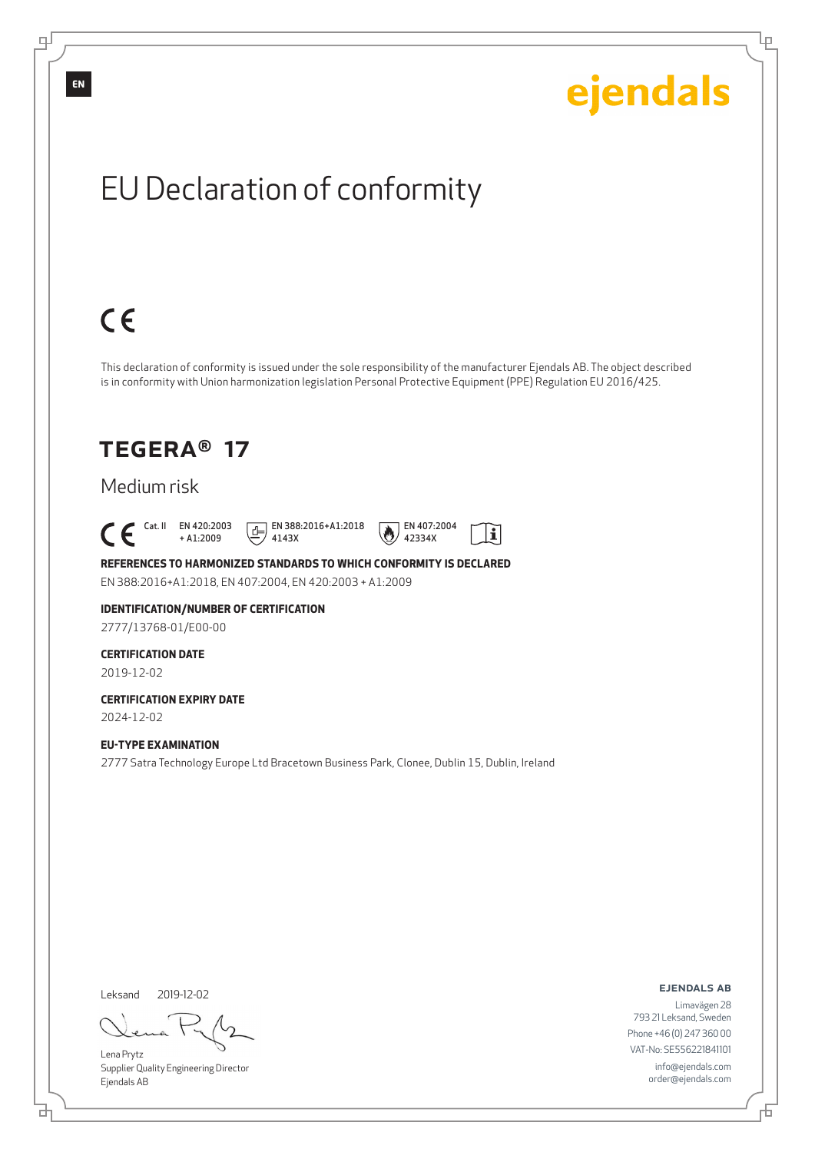

Leksand 2019-12-02

đ

Lena Prytz Supplier Quality Engineering Director Ejendals AB

ejendals ab

舌

Ļμ

Limavägen 28 793 21 Leksand, Sweden Phone +46 (0) 247 360 00 VAT-No: SE556221841101 info@ejendals.com order@ejendals.com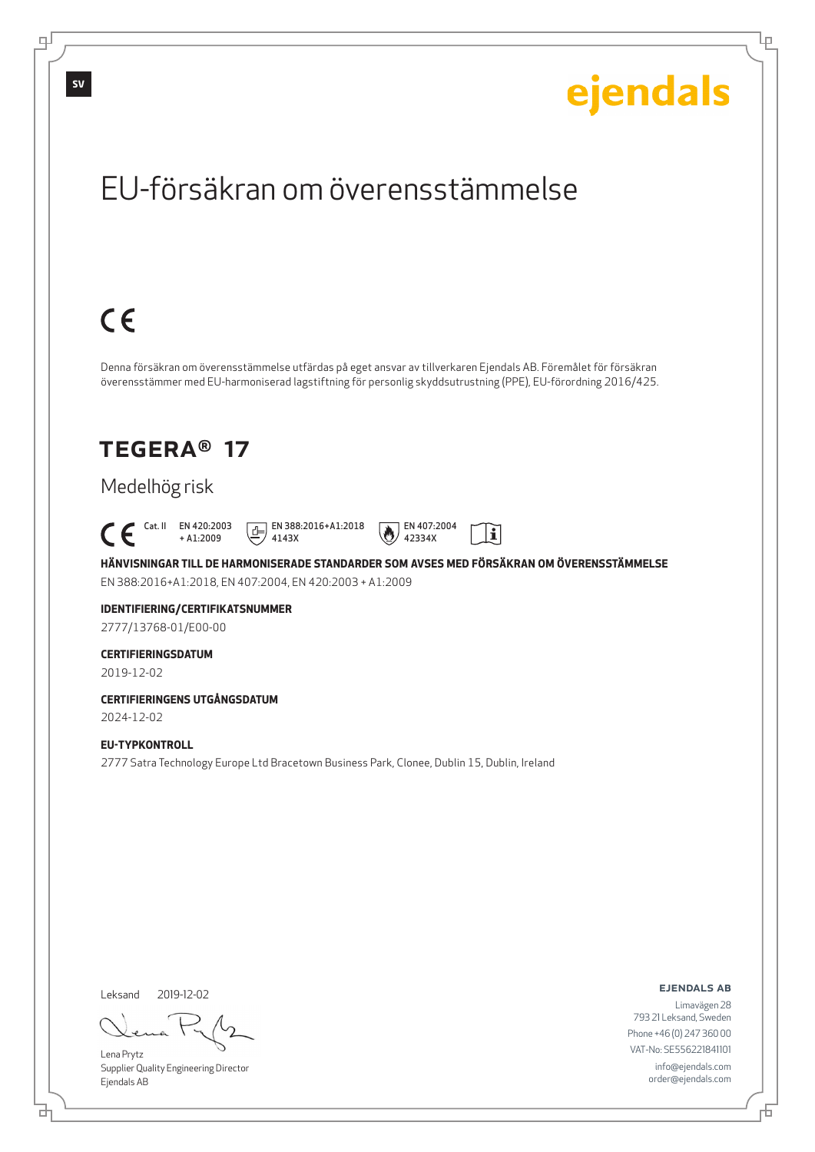Lρ

## EU-försäkran om överensstämmelse

# $C \in$

Denna försäkran om överensstämmelse utfärdas på eget ansvar av tillverkaren Ejendals AB. Föremålet för försäkran överensstämmer med EU-harmoniserad lagstiftning för personlig skyddsutrustning (PPE), EU-förordning 2016/425.

### TEGERA® 17

### Medelhög risk

 $\begin{bmatrix} \mathsf{Cat} & \mathsf{II} & \mathsf{EN} & 420:2003 \\ + & 41:2009 \end{bmatrix}$ + A1:2009

4143X

 $E$  EN 388:2016+A1:2018



**HÄNVISNINGAR TILL DE HARMONISERADE STANDARDER SOM AVSES MED FÖRSÄKRAN OM ÖVERENSSTÄMMELSE** EN 388:2016+A1:2018, EN 407:2004, EN 420:2003 + A1:2009

42334X

### **IDENTIFIERING/CERTIFIKATSNUMMER**

2777/13768-01/E00-00

#### **CERTIFIERINGSDATUM**

2019-12-02

### **CERTIFIERINGENS UTGÅNGSDATUM**

2024-12-02

#### **EU-TYPKONTROLL**

2777 Satra Technology Europe Ltd Bracetown Business Park, Clonee, Dublin 15, Dublin, Ireland

Leksand 2019-12-02

<u>다</u>

Lena Prytz Supplier Quality Engineering Director Ejendals AB

ejendals ab

Đ

Limavägen 28 793 21 Leksand, Sweden Phone +46 (0) 247 360 00 VAT-No: SE556221841101 info@ejendals.com order@ejendals.com

டி

**SV**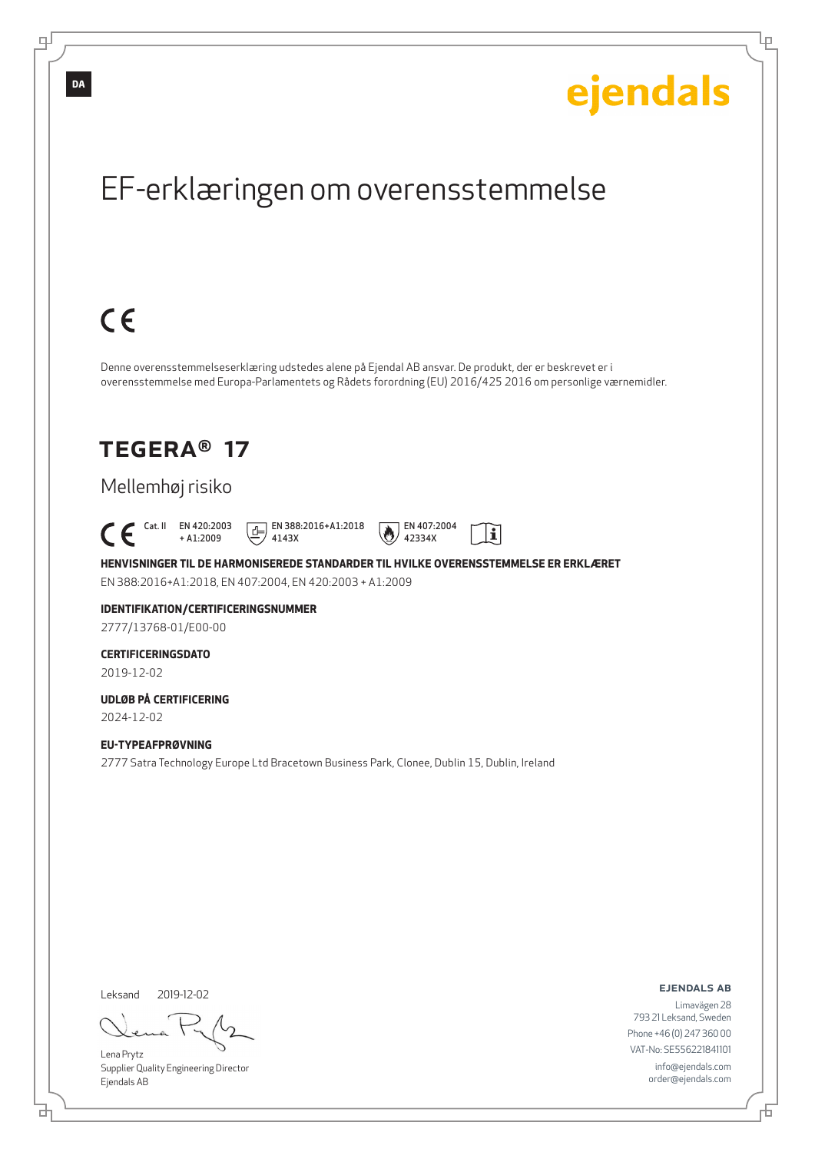

Lena Prytz

டி

Supplier Quality Engineering Director Ejendals AB

브

793 21 Leksand, Sweden Phone +46 (0) 247 360 00 VAT-No: SE556221841101 info@ejendals.com order@ejendals.com

Đ

Ļμ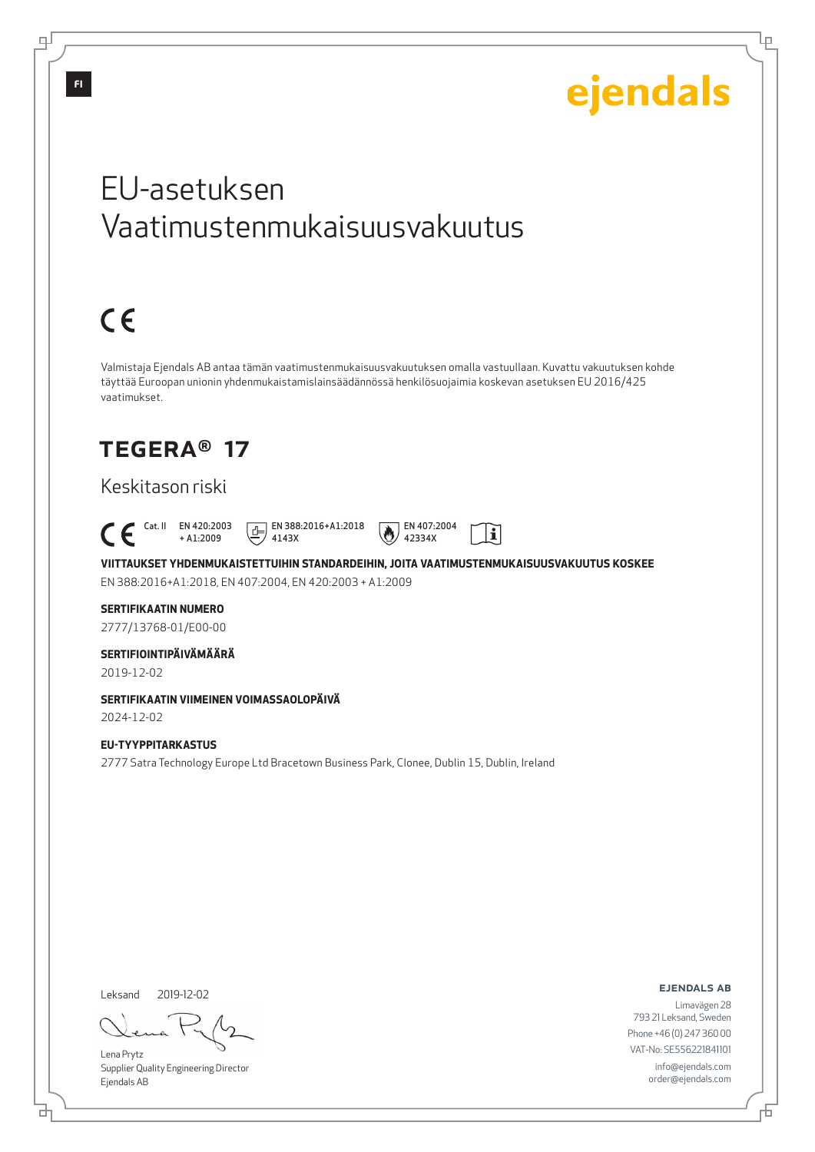## EU-asetuksen Vaatimustenmukaisuusvakuutus  $C \in$ Valmistaja Ejendals AB antaa tämän vaatimustenmukaisuusvakuutuksen omalla vastuullaan. Kuvattu vakuutuksen kohde täyttää Euroopan unionin yhdenmukaistamislainsäädännössä henkilösuojaimia koskevan asetuksen EU 2016/425 vaatimukset. TEGERA® 17 Keskitason riski Cat. II EN 420:2003  $E$  EN 388:2016+A1:2018 EN 407:2004  $|\tilde{\mathbf{i}}|$ + A1:2009 4143X 42334X **VIITTAUKSET YHDENMUKAISTETTUIHIN STANDARDEIHIN, JOITA VAATIMUSTENMUKAISUUSVAKUUTUS KOSKEE** EN 388:2016+A1:2018, EN 407:2004, EN 420:2003 + A1:2009

#### **SERTIFIKAATIN NUMERO**

2777/13768-01/E00-00

#### **SERTIFIOINTIPÄIVÄMÄÄRÄ**

2019-12-02

#### **SERTIFIKAATIN VIIMEINEN VOIMASSAOLOPÄIVÄ**

2024-12-02

#### **EU-TYYPPITARKASTUS** 2777 Satra Technology Europe Ltd Bracetown Business Park, Clonee, Dublin 15, Dublin, Ireland

Leksand 2019-12-02

브

Lena Prytz Supplier Quality Engineering Director Ejendals AB

#### ejendals ab

Limavägen 28 793 21 Leksand, Sweden Phone +46 (0) 247 360 00 VAT-No: SE556221841101 info@ejendals.com order@ejendals.com

டி

Đ

Lμ

ejendals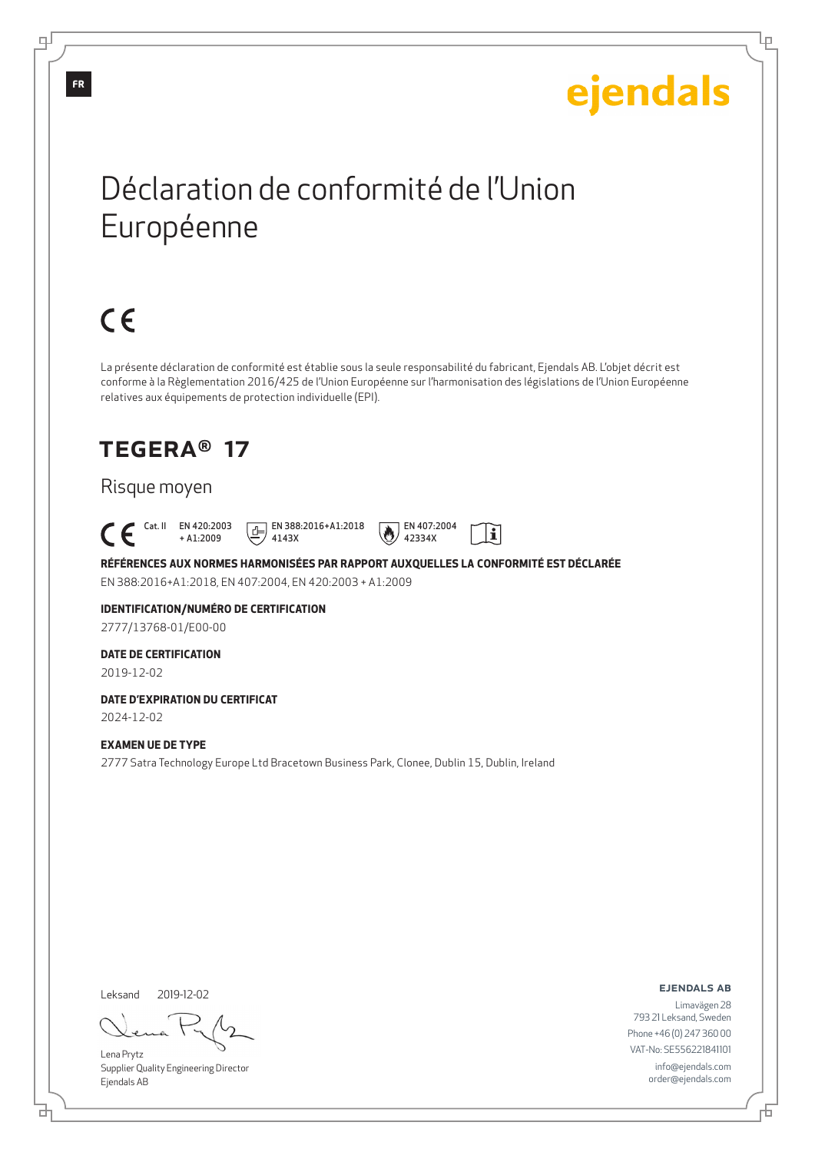Ļμ

## Déclaration de conformité de l'Union Européenne

# $C \in$

La présente déclaration de conformité est établie sous la seule responsabilité du fabricant, Ejendals AB. L'objet décrit est conforme à la Règlementation 2016/425 de l'Union Européenne sur l'harmonisation des législations de l'Union Européenne relatives aux équipements de protection individuelle (EPI).

## TEGERA® 17

### Risque moyen

Cat. II EN 420:2003

+ A1:2009 4143X





42334X

**RÉFÉRENCES AUX NORMES HARMONISÉES PAR RAPPORT AUXQUELLES LA CONFORMITÉ EST DÉCLARÉE** EN 388:2016+A1:2018, EN 407:2004, EN 420:2003 + A1:2009

## **IDENTIFICATION/NUMÉRO DE CERTIFICATION**

2777/13768-01/E00-00

#### **DATE DE CERTIFICATION**

2019-12-02

### **DATE D'EXPIRATION DU CERTIFICAT**

2024-12-02

#### **EXAMEN UE DE TYPE**

2777 Satra Technology Europe Ltd Bracetown Business Park, Clonee, Dublin 15, Dublin, Ireland

Leksand 2019-12-02

<u>다</u>

Lena Prytz Supplier Quality Engineering Director Ejendals AB

ejendals ab

Đ

Limavägen 28 793 21 Leksand, Sweden Phone +46 (0) 247 360 00 VAT-No: SE556221841101 info@ejendals.com order@ejendals.com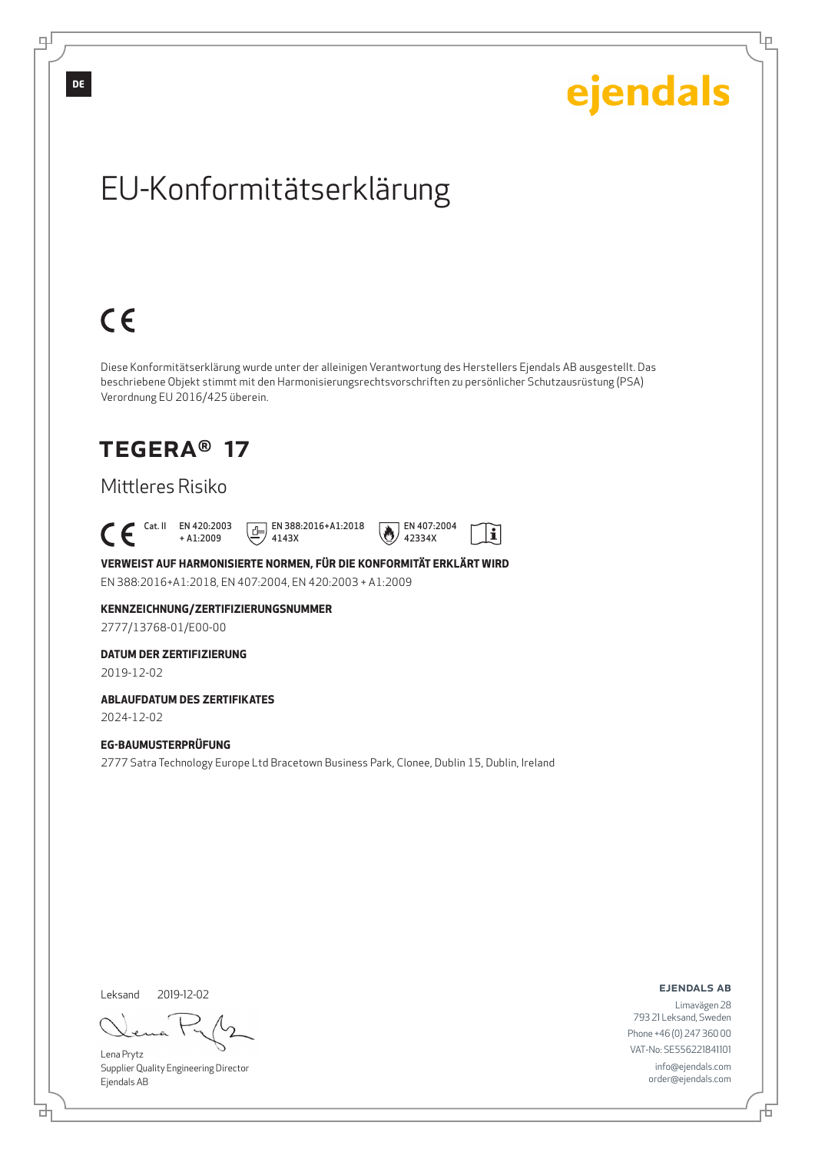

Leksand 2019-12-02

<u>다</u>

∓

Lena Prytz Supplier Quality Engineering Director Ejendals AB

ejendals ab

Limavägen 28 793 21 Leksand, Sweden Phone +46 (0) 247 360 00 VAT-No: SE556221841101 info@ejendals.com order@ejendals.com

舌

Ļμ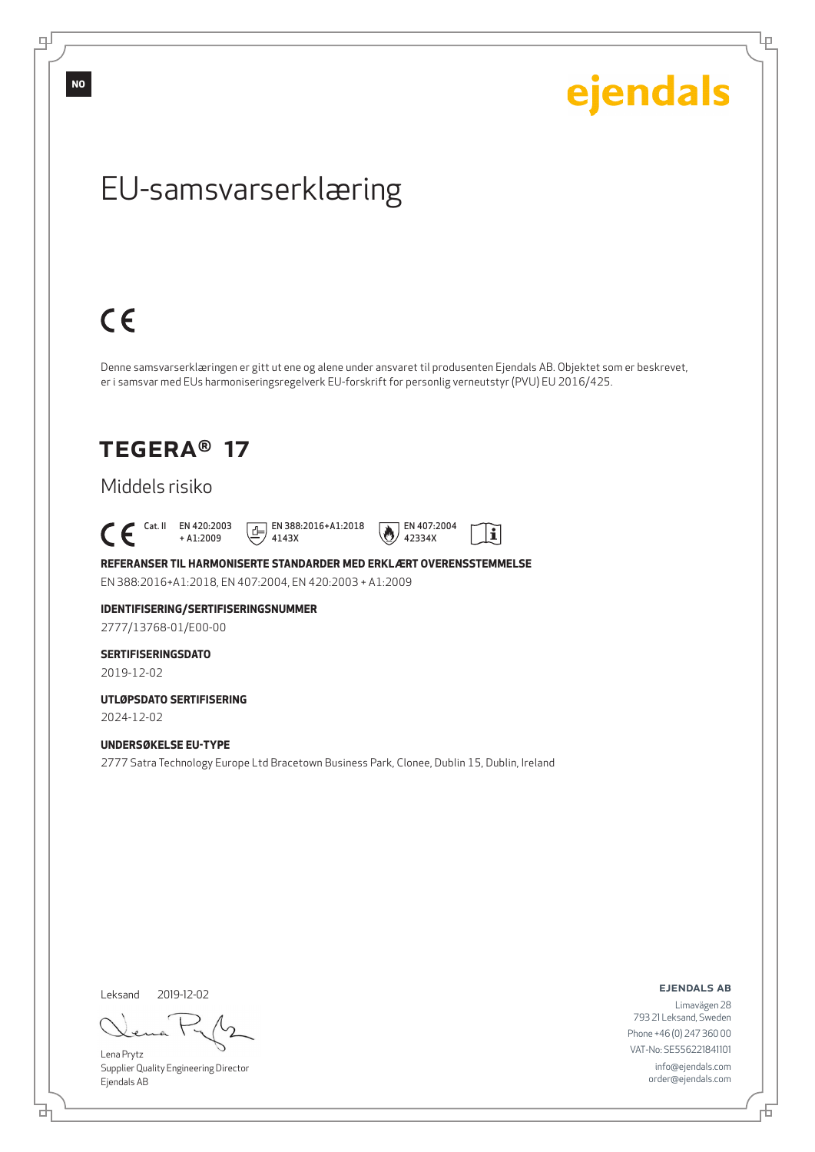ejendals

Ļμ

## EU-samsvarserklæring

# $C \in$

Denne samsvarserklæringen er gitt ut ene og alene under ansvaret til produsenten Ejendals AB. Objektet som er beskrevet, er i samsvar med EUs harmoniseringsregelverk EU-forskrift for personlig verneutstyr (PVU) EU 2016/425.

## TEGERA® 17

### Middels risiko

 $\begin{bmatrix} \text{Cat. II} & \text{EN } 420:2003 \\ + A1:2009 \end{bmatrix}$ + A1:2009

4143X

 $E$  EN 388:2016+A1:2018



**REFERANSER TIL HARMONISERTE STANDARDER MED ERKLÆRT OVERENSSTEMMELSE** EN 388:2016+A1:2018, EN 407:2004, EN 420:2003 + A1:2009

### **IDENTIFISERING/SERTIFISERINGSNUMMER**

2777/13768-01/E00-00

#### **SERTIFISERINGSDATO**

2019-12-02

### **UTLØPSDATO SERTIFISERING**

2024-12-02

#### **UNDERSØKELSE EU-TYPE**

2777 Satra Technology Europe Ltd Bracetown Business Park, Clonee, Dublin 15, Dublin, Ireland

Leksand 2019-12-02

<u>다</u>

Lena Prytz Supplier Quality Engineering Director Ejendals AB

ejendals ab

舌

Limavägen 28 793 21 Leksand, Sweden Phone +46 (0) 247 360 00 VAT-No: SE556221841101 info@ejendals.com order@ejendals.com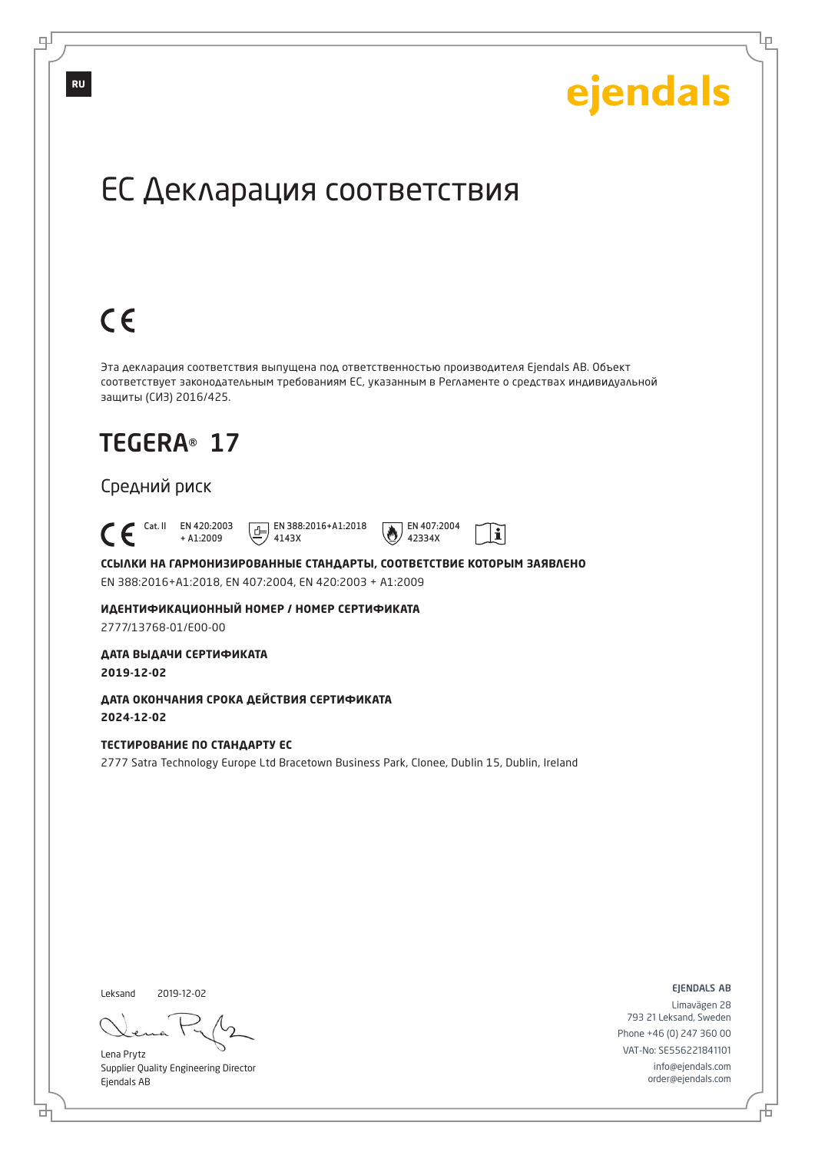Ļμ

## ЕС Декларация соответствия

# $C \in$

Эта декларация соответствия выпущена под ответственностью производителя Ejendals AB. Объект соответствует законодательным требованиям ЕС, указанным в Регламенте о средствах индивидуальной защиты (СИЗ) 2016/425.

## TEGERA® 17

### Средний риск

 Cat. II EN 420:2003 + A1:2009

 $E$  EN 388:2016+A1:2018 4143X



 $\mathbf{i}$ 

**ССЫЛКИ НА ГАРМОНИЗИРОВАННЫЕ СТАНДАРТЫ, СООТВЕТСТВИЕ КОТОРЫМ ЗАЯВЛЕНО** EN 388:2016+A1:2018, EN 407:2004, EN 420:2003 + A1:2009

**ИДЕНТИФИКАЦИОННЫЙ НОМЕР / НОМЕР СЕРТИФИКАТА** 2777/13768-01/E00-00

**ДАТА ВЫДАЧИ СЕРТИФИКАТА 2019-12-02**

**ДАТА ОКОНЧАНИЯ СРОКА ДЕЙСТВИЯ СЕРТИФИКАТА 2024-12-02**

#### **ТЕСТИРОВАНИЕ ПО СТАНДАРТУ ЕС**

2777 Satra Technology Europe Ltd Bracetown Business Park, Clonee, Dublin 15, Dublin, Ireland

Leksand 2019-12-02

브

Lena Prytz Supplier Quality Engineering Director Ejendals AB

ejendals ab

舌

Limavägen 28 793 21 Leksand, Sweden Phone +46 (0) 247 360 00 VAT-No: SE556221841101 info@ejendals.com order@ejendals.com

**RU**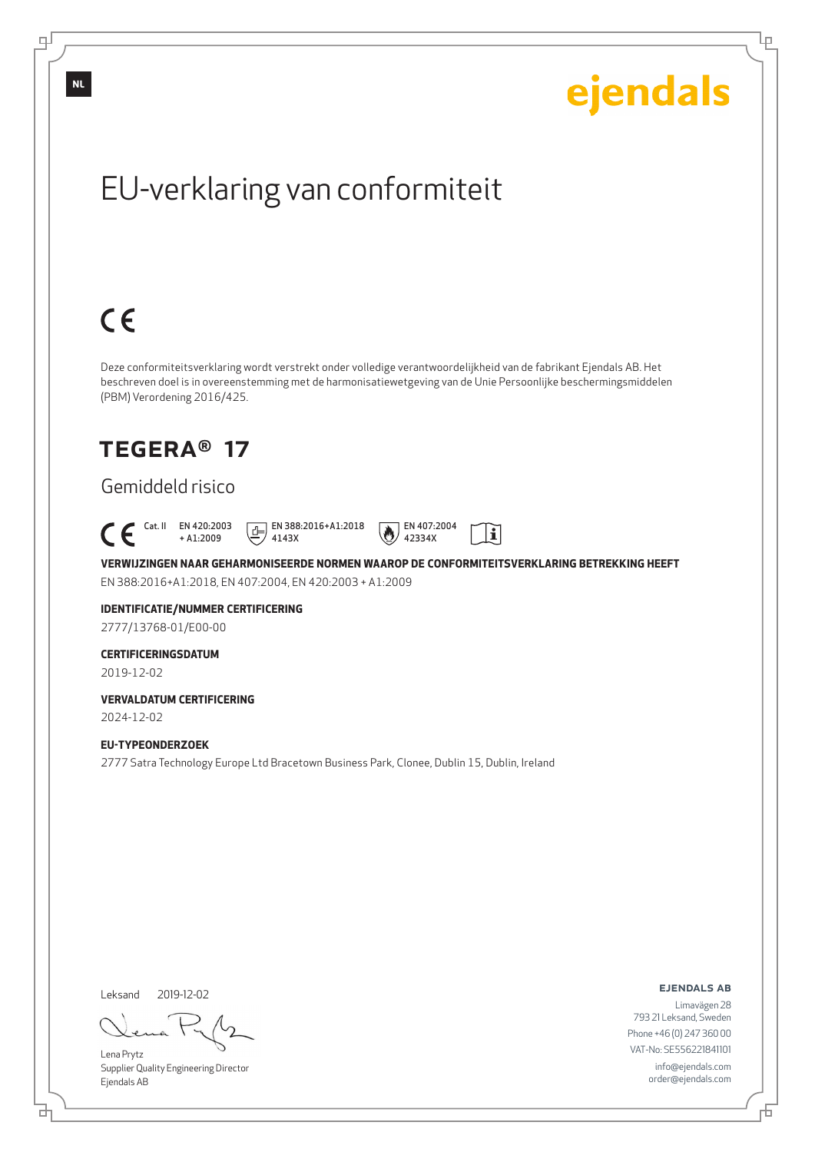

Lena Prytz Supplier Quality Engineering Director Ejendals AB

<u>다</u>

டி

ejendals ab

Limavägen 28 793 21 Leksand, Sweden Phone +46 (0) 247 360 00 VAT-No: SE556221841101 info@ejendals.com order@ejendals.com

Đ

Ļμ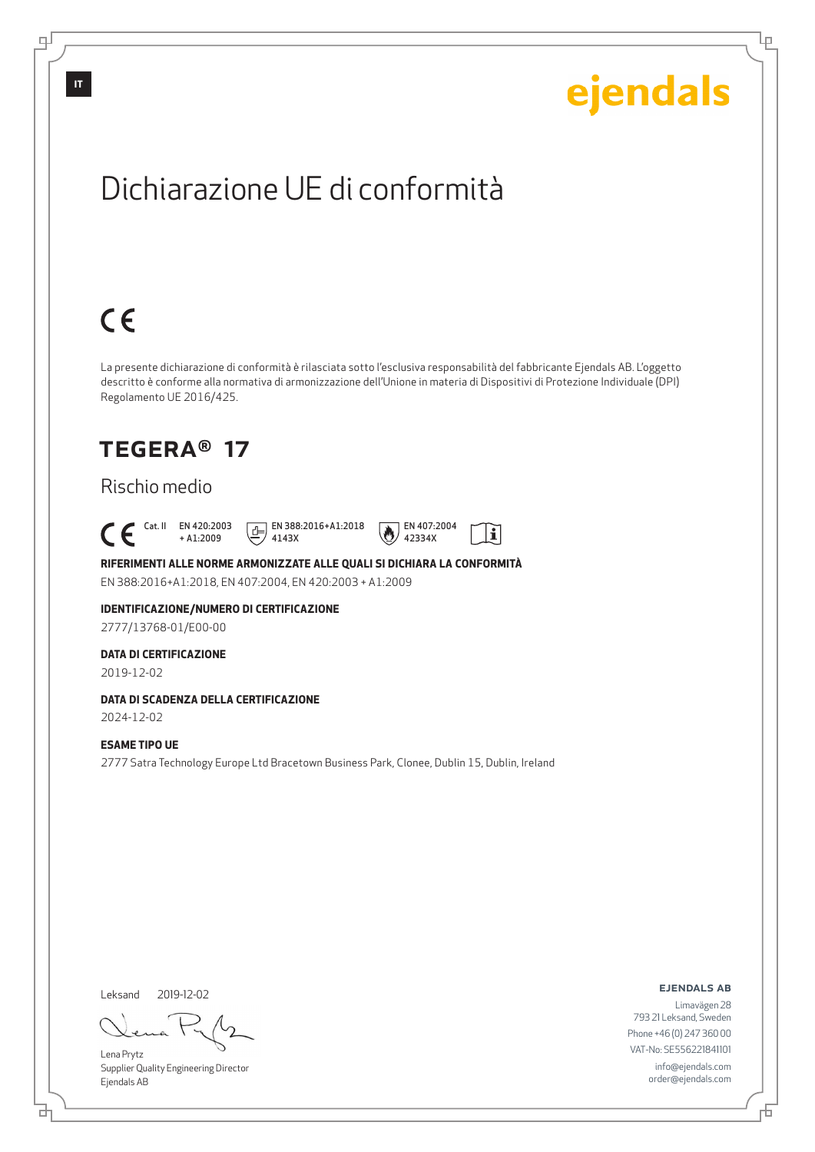

2019-12-02

Leksand

<u>다</u>

டி

Lena Prytz Supplier Quality Engineering Director Ejendals AB

ejendals ab

Lρ

Limavägen 28 793 21 Leksand, Sweden Phone +46 (0) 247 360 00 VAT-No: SE556221841101 info@ejendals.com order@ejendals.com

舌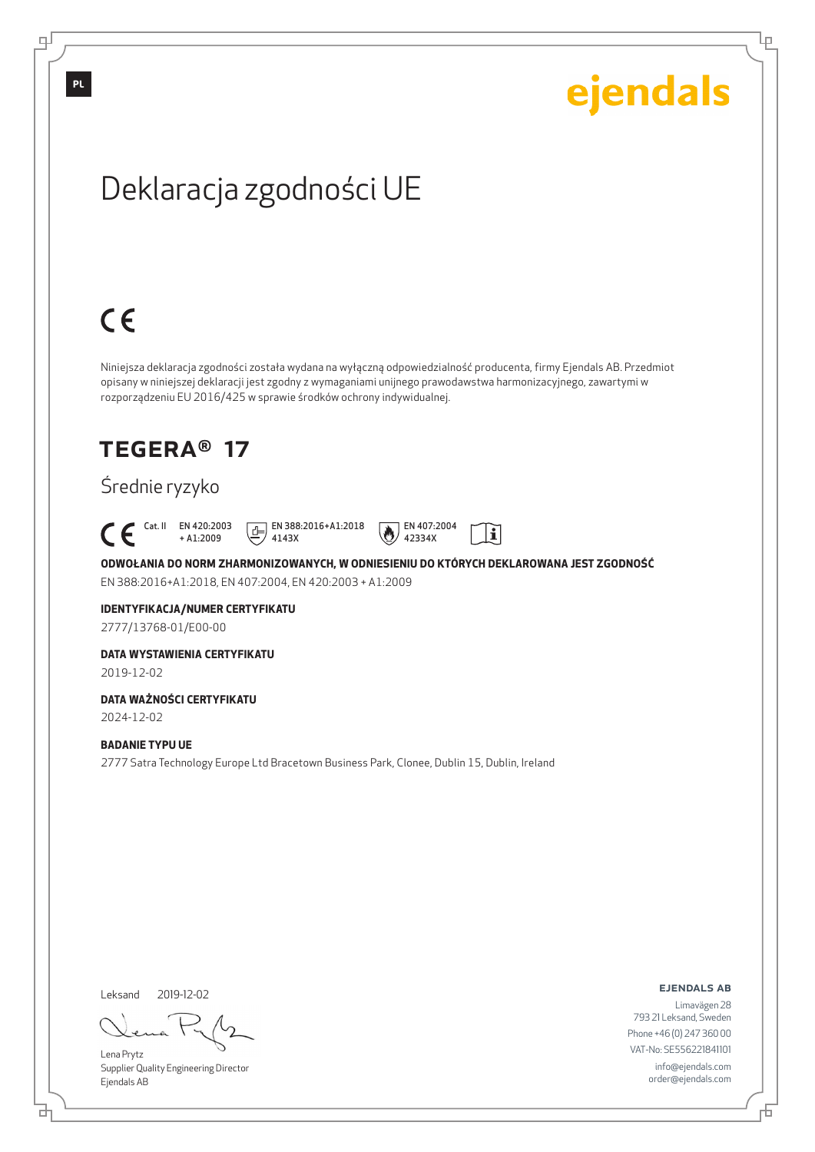Ļμ

## Deklaracja zgodności UE

# $C \in$

Niniejsza deklaracja zgodności została wydana na wyłączną odpowiedzialność producenta, firmy Ejendals AB. Przedmiot opisany w niniejszej deklaracji jest zgodny z wymaganiami unijnego prawodawstwa harmonizacyjnego, zawartymi w rozporządzeniu EU 2016/425 w sprawie środków ochrony indywidualnej.

### TEGERA® 17

### Średnie ryzyko

Cat. II EN 420:2003

+ A1:2009 4143X





**ODWOŁANIA DO NORM ZHARMONIZOWANYCH, W ODNIESIENIU DO KTÓRYCH DEKLAROWANA JEST ZGODNOŚĆ** EN 388:2016+A1:2018, EN 407:2004, EN 420:2003 + A1:2009

42334X

### **IDENTYFIKACJA/NUMER CERTYFIKATU**

2777/13768-01/E00-00

#### **DATA WYSTAWIENIA CERTYFIKATU**

2019-12-02

#### **DATA WAŻNOŚCI CERTYFIKATU**

2024-12-02

#### **BADANIE TYPU UE**

2777 Satra Technology Europe Ltd Bracetown Business Park, Clonee, Dublin 15, Dublin, Ireland

Leksand 2019-12-02

Lena Prytz Supplier Quality Engineering Director Ejendals AB

ejendals ab

Đ

Limavägen 28 793 21 Leksand, Sweden Phone +46 (0) 247 360 00 VAT-No: SE556221841101 info@ejendals.com order@ejendals.com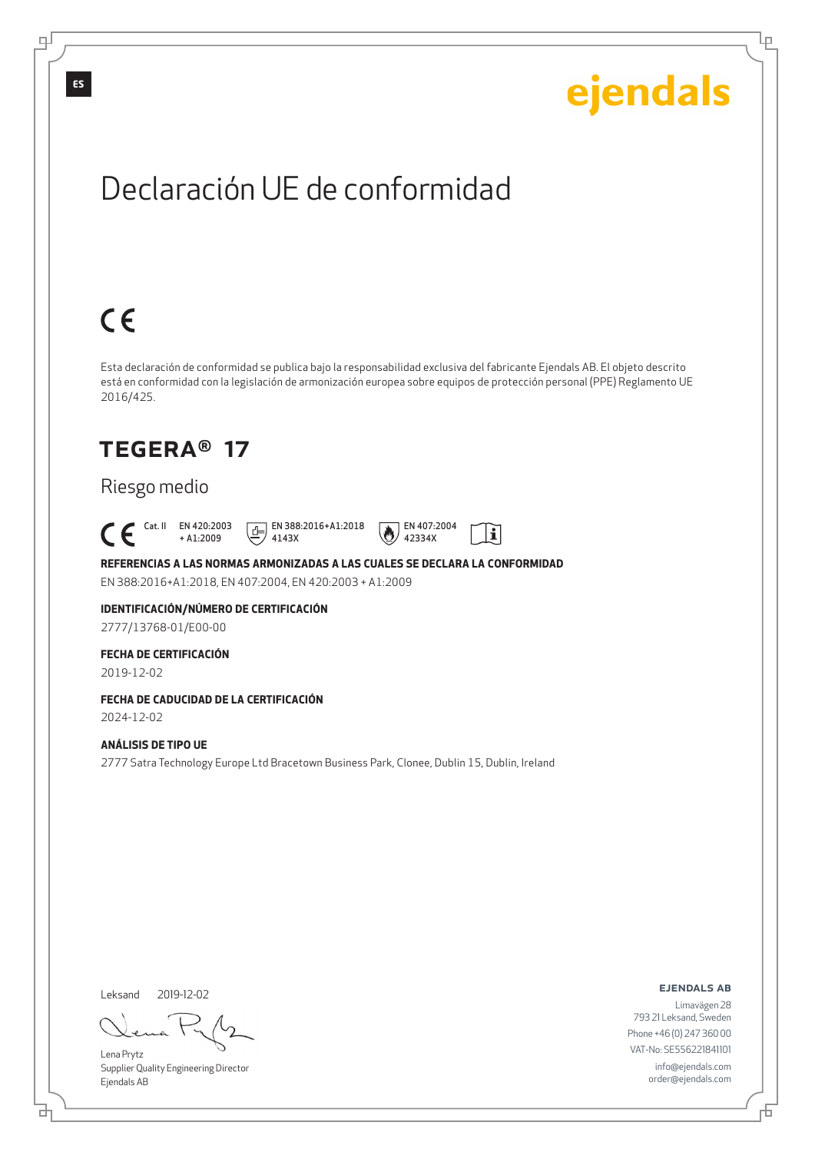Lρ

# Declaración UE de conformidad

# $C \in$

Esta declaración de conformidad se publica bajo la responsabilidad exclusiva del fabricante Ejendals AB. El objeto descrito está en conformidad con la legislación de armonización europea sobre equipos de protección personal (PPE) Reglamento UE 2016/425.

## TEGERA® 17

### Riesgo medio

 Cat. II EN 420:2003 + A1:2009

4143X



 $\tilde{\mathbf{i}}$ 

### **REFERENCIAS A LAS NORMAS ARMONIZADAS A LAS CUALES SE DECLARA LA CONFORMIDAD**

EN 388:2016+A1:2018, EN 407:2004, EN 420:2003 + A1:2009

#### **IDENTIFICACIÓN/NÚMERO DE CERTIFICACIÓN** 2777/13768-01/E00-00

#### **FECHA DE CERTIFICACIÓN**

2019-12-02

#### **FECHA DE CADUCIDAD DE LA CERTIFICACIÓN**

2024-12-02

#### **ANÁLISIS DE TIPO UE**

2777 Satra Technology Europe Ltd Bracetown Business Park, Clonee, Dublin 15, Dublin, Ireland

Leksand 2019-12-02

<u>다</u>

Lena Prytz Supplier Quality Engineering Director Ejendals AB

ejendals ab

Đ

Limavägen 28 793 21 Leksand, Sweden Phone +46 (0) 247 360 00 VAT-No: SE556221841101 info@ejendals.com order@ejendals.com

டி

**ES**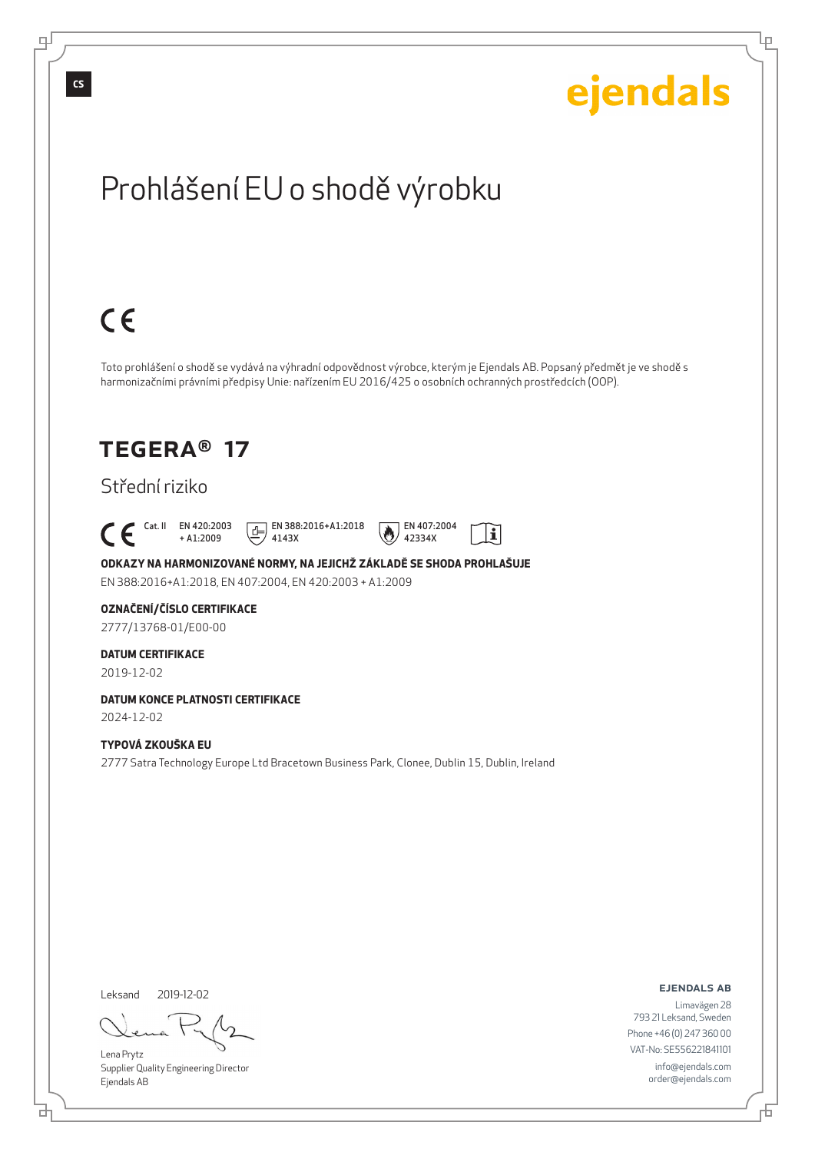

Lena Prytz Supplier Quality Engineering Director Ejendals AB

<u>다</u>

ejendals ab

Limavägen 28 793 21 Leksand, Sweden Phone +46 (0) 247 360 00 VAT-No: SE556221841101 info@ejendals.com order@ejendals.com

舌

Ļμ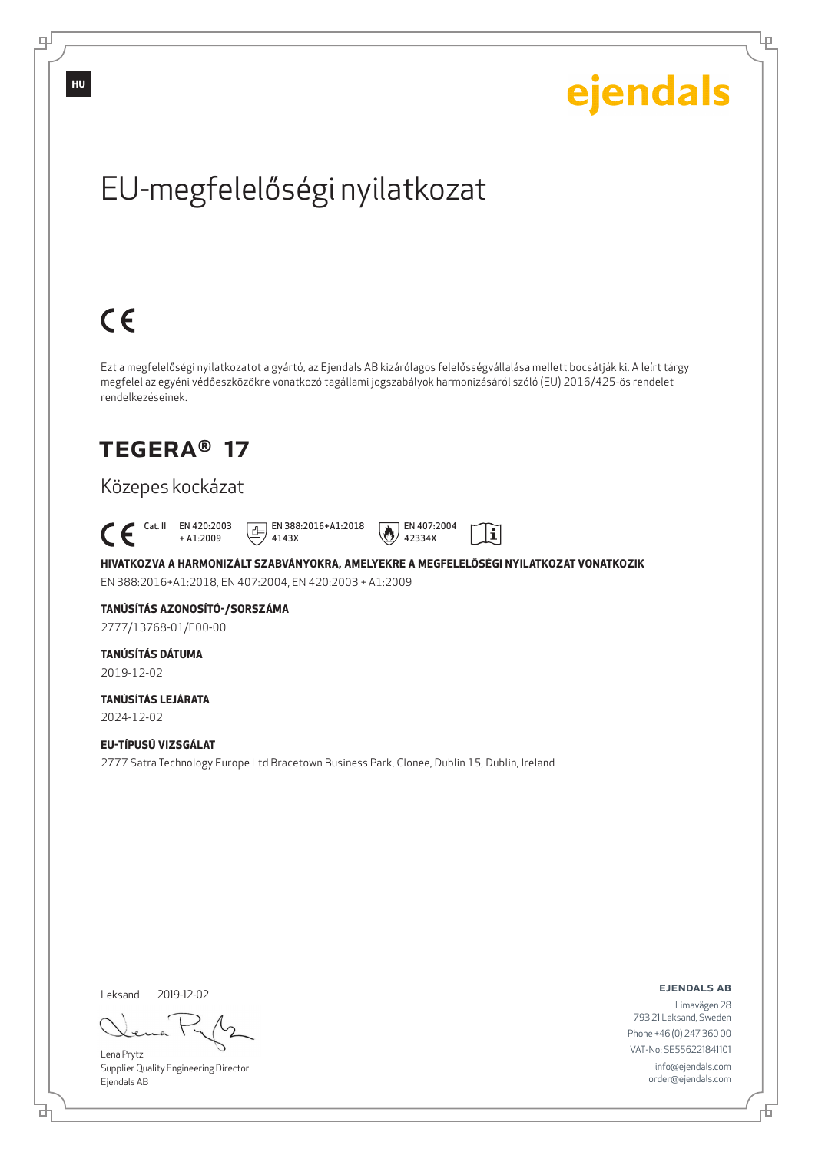

브

டி

Lena Prytz Supplier Quality Engineering Director Ejendals AB

ejendals ab

Đ

Ļμ

Limavägen 28 793 21 Leksand, Sweden Phone +46 (0) 247 360 00 VAT-No: SE556221841101 info@ejendals.com order@ejendals.com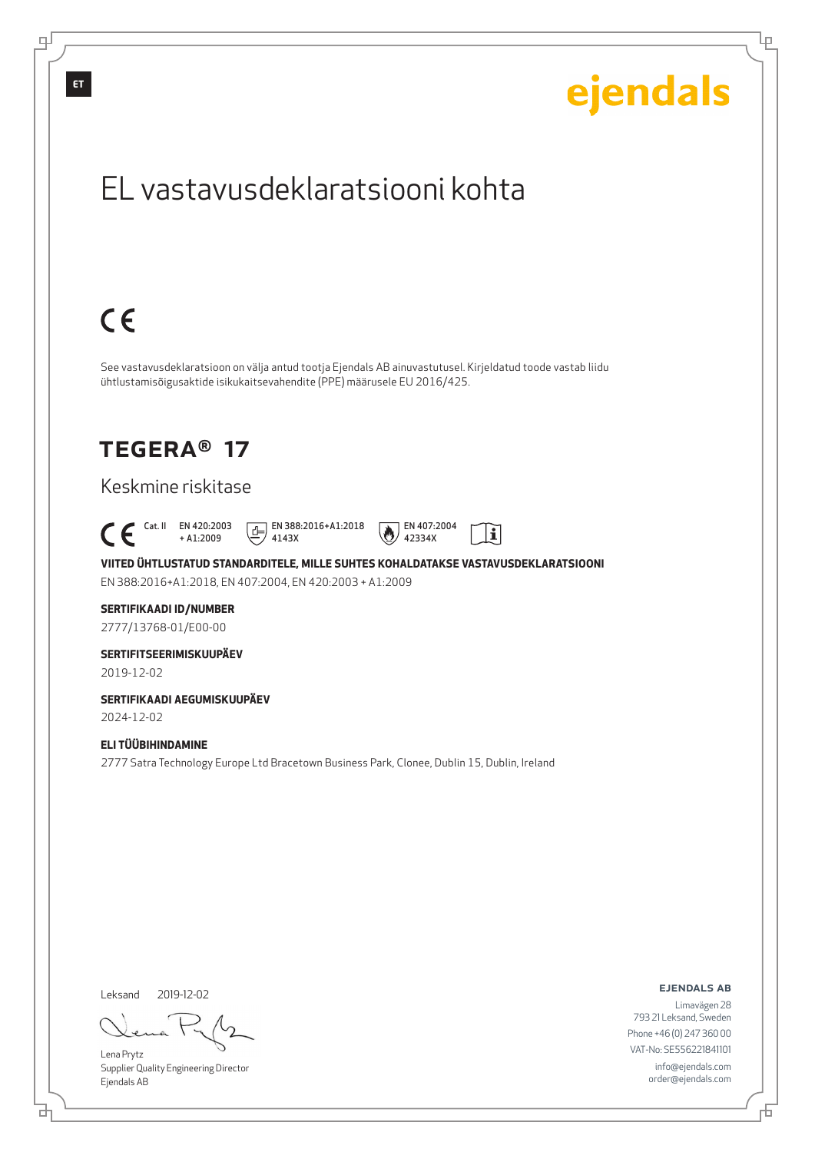

Supplier Quality Engineering Director Ejendals AB

<u>다</u>

டி

Đ

Lρ

order@ejendals.com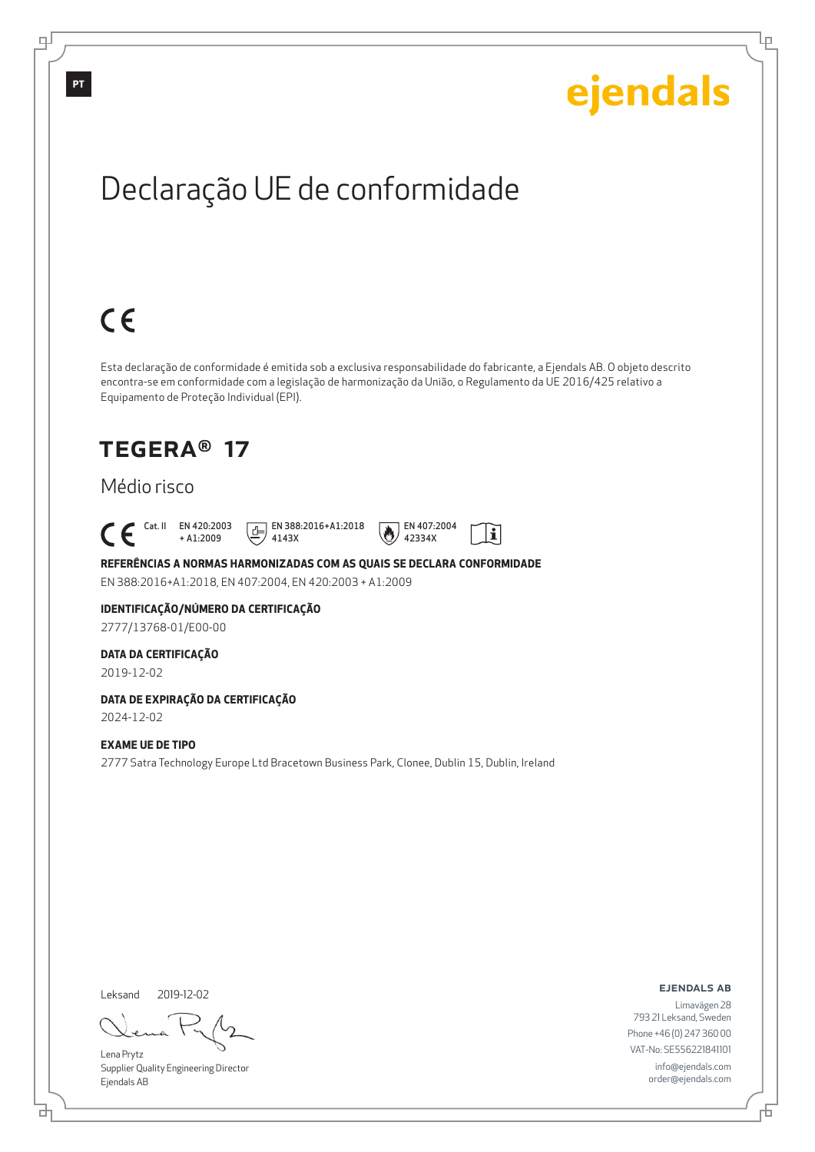## ejendals Declaração UE de conformidade  $C \in$ Esta declaração de conformidade é emitida sob a exclusiva responsabilidade do fabricante, a Ejendals AB. O objeto descrito encontra-se em conformidade com a legislação de harmonização da União, o Regulamento da UE 2016/425 relativo a Equipamento de Proteção Individual (EPI). TEGERA® 17 Médio risco Cat. II EN 420:2003  $E$  EN 388:2016+A1:2018 EN 407:2004  $\tilde{\mathbf{i}}$ + A1:2009 4143X 42334X **REFERÊNCIAS A NORMAS HARMONIZADAS COM AS QUAIS SE DECLARA CONFORMIDADE** EN 388:2016+A1:2018, EN 407:2004, EN 420:2003 + A1:2009 **IDENTIFICAÇÃO/NÚMERO DA CERTIFICAÇÃO**

2777/13768-01/E00-00

#### **DATA DA CERTIFICAÇÃO**

2019-12-02

#### **DATA DE EXPIRAÇÃO DA CERTIFICAÇÃO**

2024-12-02

#### **EXAME UE DE TIPO**

2777 Satra Technology Europe Ltd Bracetown Business Park, Clonee, Dublin 15, Dublin, Ireland

Leksand 2019-12-02

<u>다</u>

Lena Prytz Supplier Quality Engineering Director Ejendals AB

ejendals ab

Đ

Ļμ

Limavägen 28 793 21 Leksand, Sweden Phone +46 (0) 247 360 00 VAT-No: SE556221841101 info@ejendals.com order@ejendals.com

டி

**PT**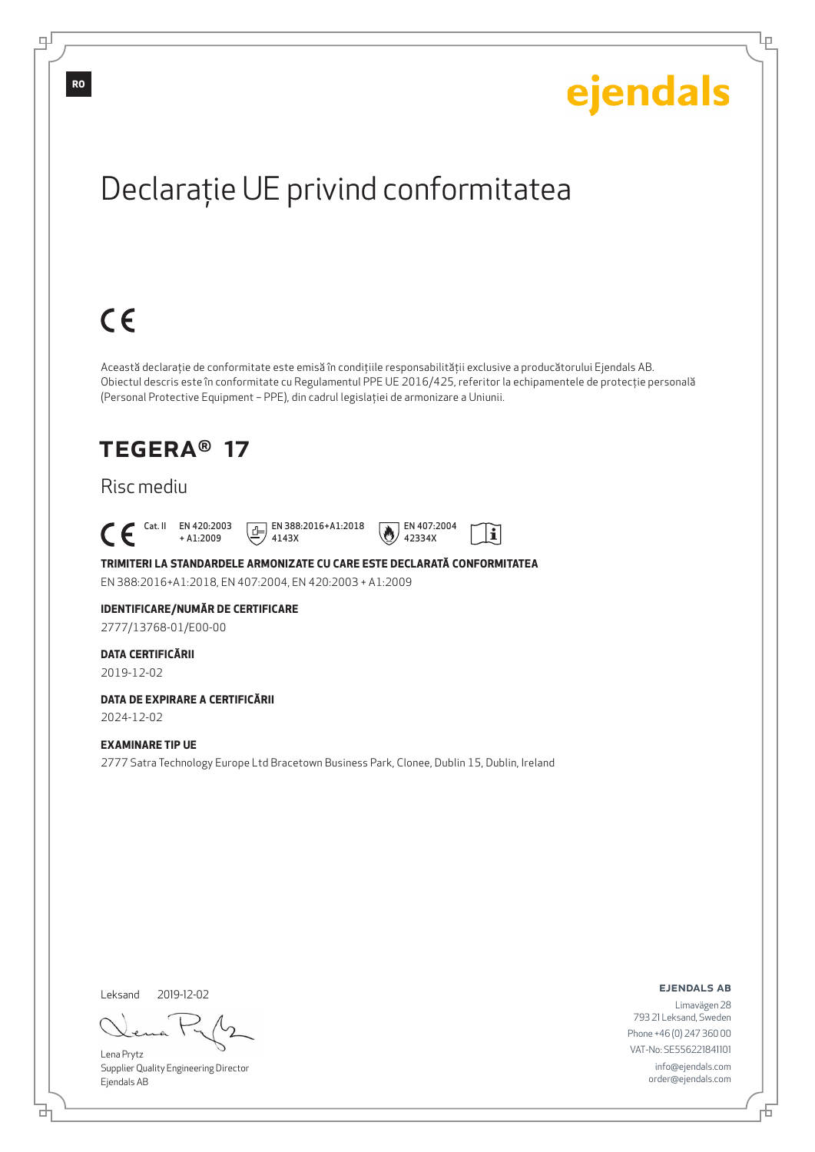Ļμ

# Declaraţie UE privind conformitatea

# $C \in$

Această declaraţie de conformitate este emisă în condiţiile responsabilităţii exclusive a producătorului Ejendals AB. Obiectul descris este în conformitate cu Regulamentul PPE UE 2016/425, referitor la echipamentele de protecţie personală (Personal Protective Equipment – PPE), din cadrul legislaţiei de armonizare a Uniunii.

### TEGERA® 17

### Risc mediu

Cat. II EN 420:2003

+ A1:2009 4143X

 $E$  EN 388:2016+A1:2018



### **TRIMITERI LA STANDARDELE ARMONIZATE CU CARE ESTE DECLARATĂ CONFORMITATEA**

EN 388:2016+A1:2018, EN 407:2004, EN 420:2003 + A1:2009

#### **IDENTIFICARE/NUMĂR DE CERTIFICARE**

2777/13768-01/E00-00

#### **DATA CERTIFICĂRII**

2019-12-02

#### **DATA DE EXPIRARE A CERTIFICĂRII**

2024-12-02

#### **EXAMINARE TIP UE**

2777 Satra Technology Europe Ltd Bracetown Business Park, Clonee, Dublin 15, Dublin, Ireland

Leksand 2019-12-02

<u>다</u>

Lena Prytz Supplier Quality Engineering Director Ejendals AB

ejendals ab

Đ

Limavägen 28 793 21 Leksand, Sweden Phone +46 (0) 247 360 00 VAT-No: SE556221841101 info@ejendals.com order@ejendals.com

∓

**RO**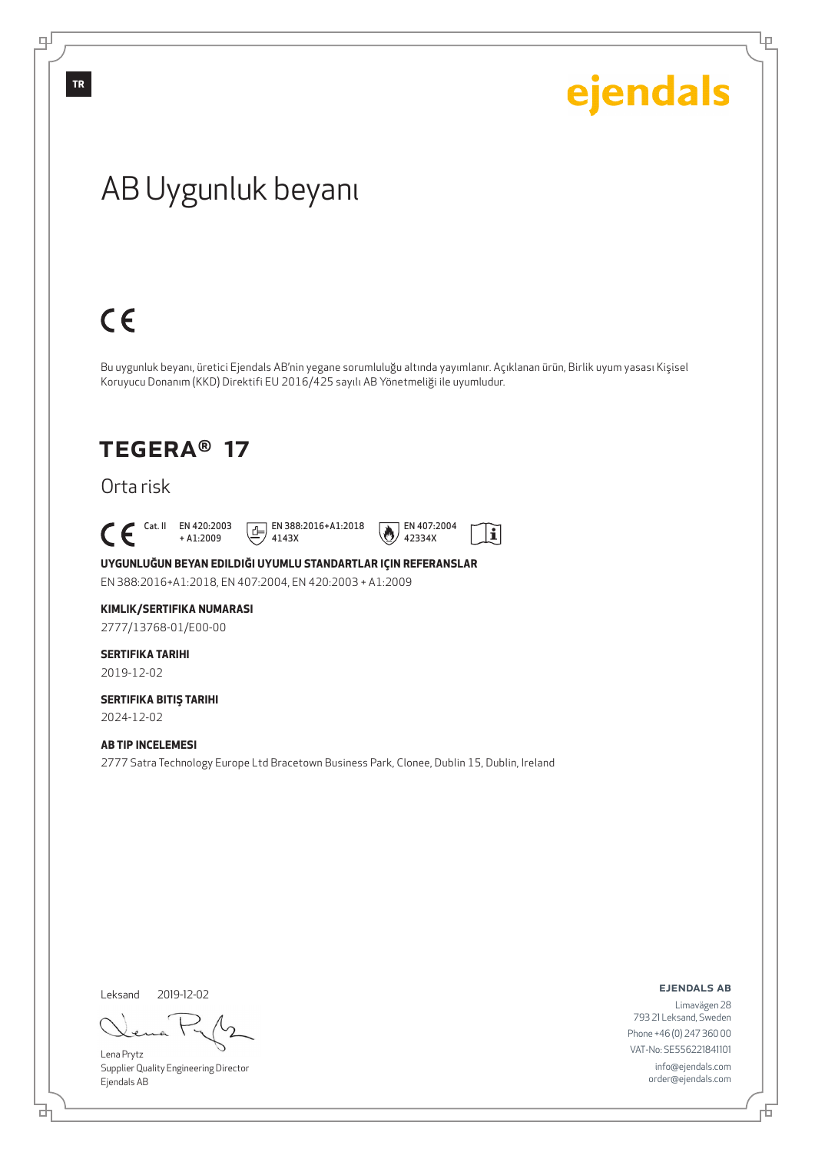## AB Uygunluk beyanı  $C \in$ Bu uygunluk beyanı, üretici Ejendals AB'nin yegane sorumluluğu altında yayımlanır. Açıklanan ürün, Birlik uyum yasası Kişisel Koruyucu Donanım (KKD) Direktifi EU 2016/425 sayılı AB Yönetmeliği ile uyumludur. TEGERA® 17 Orta risk  $\begin{bmatrix} \text{Cat. II} & \text{EN }420:2003 \\ + A1:2009 \end{bmatrix}$  $E$  EN 388:2016+A1:2018 EN 407:2004 li + A1:2009 4143X 42334X

**UYGUNLUĞUN BEYAN EDILDIĞI UYUMLU STANDARTLAR IÇIN REFERANSLAR** EN 388:2016+A1:2018, EN 407:2004, EN 420:2003 + A1:2009

#### **KIMLIK/SERTIFIKA NUMARASI**

2777/13768-01/E00-00

### **SERTIFIKA TARIHI**

2019-12-02

### **SERTIFIKA BITIŞ TARIHI**

2024-12-02

#### **AB TIP INCELEMESI**

2777 Satra Technology Europe Ltd Bracetown Business Park, Clonee, Dublin 15, Dublin, Ireland

Leksand 2019-12-02

đ

Lena Prytz Supplier Quality Engineering Director Ejendals AB

ejendals ab

Limavägen 28 793 21 Leksand, Sweden Phone +46 (0) 247 360 00 VAT-No: SE556221841101 info@ejendals.com order@ejendals.com

**TR**

டி

Ļμ

ejendals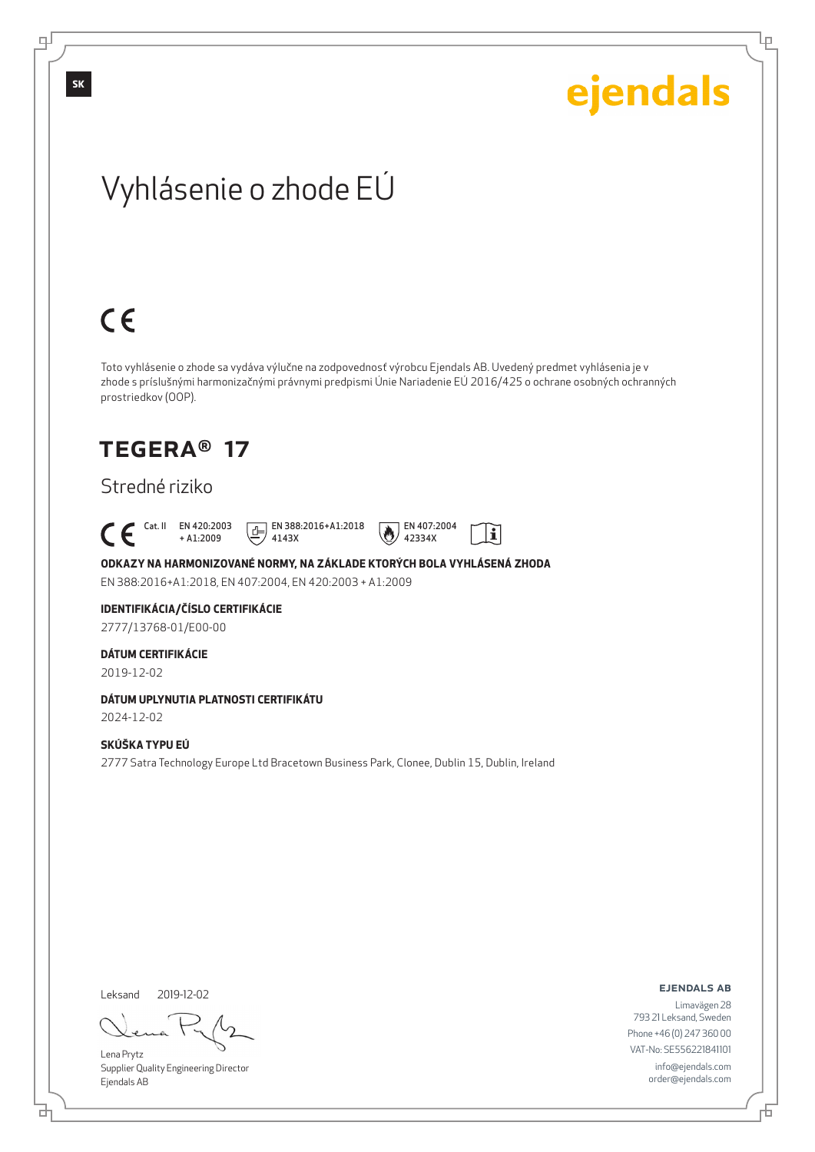Lρ

## Vyhlásenie o zhode EÚ

# $C \in$

Toto vyhlásenie o zhode sa vydáva výlučne na zodpovednosť výrobcu Ejendals AB. Uvedený predmet vyhlásenia je v zhode s príslušnými harmonizačnými právnymi predpismi Únie Nariadenie EÚ 2016/425 o ochrane osobných ochranných prostriedkov (OOP).

### TEGERA® 17

### Stredné riziko

 $\begin{bmatrix} \mathsf{Cat} & \mathsf{II} & \mathsf{EN} & 420:2003 \\ + & \mathsf{A} & 1:2009 \end{bmatrix}$ 

+ A1:2009 4143X





### **ODKAZY NA HARMONIZOVANÉ NORMY, NA ZÁKLADE KTORÝCH BOLA VYHLÁSENÁ ZHODA**

EN 388:2016+A1:2018, EN 407:2004, EN 420:2003 + A1:2009

### **IDENTIFIKÁCIA/ČÍSLO CERTIFIKÁCIE**

2777/13768-01/E00-00

#### **DÁTUM CERTIFIKÁCIE**

2019-12-02

#### **DÁTUM UPLYNUTIA PLATNOSTI CERTIFIKÁTU**

2024-12-02

#### **SKÚŠKA TYPU EÚ**

2777 Satra Technology Europe Ltd Bracetown Business Park, Clonee, Dublin 15, Dublin, Ireland

Leksand 2019-12-02

<u>다</u>

Lena Prytz Supplier Quality Engineering Director Ejendals AB

ejendals ab

Đ

Limavägen 28 793 21 Leksand, Sweden Phone +46 (0) 247 360 00 VAT-No: SE556221841101 info@ejendals.com order@ejendals.com

டி

**SK**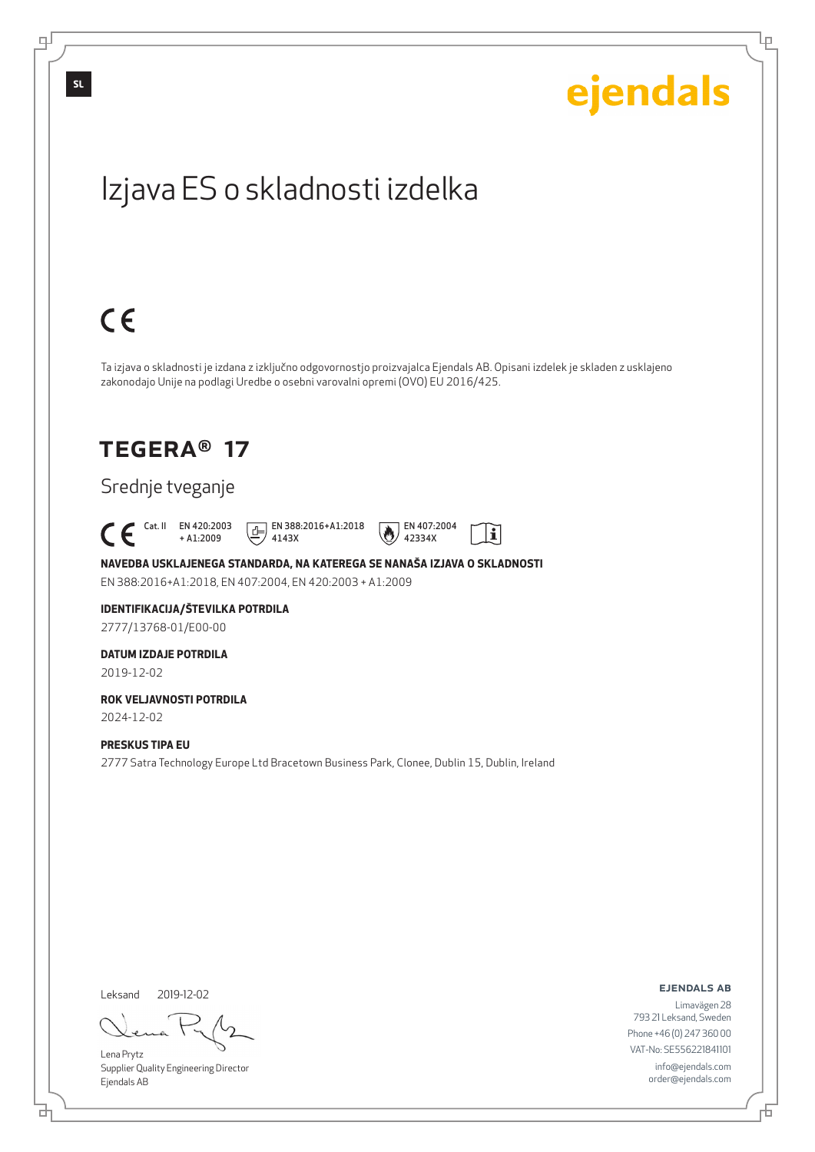

Leksand 2019-12-02

<u>다</u>

Lena Prytz Supplier Quality Engineering Director Ejendals AB

ejendals ab

Limavägen 28 793 21 Leksand, Sweden Phone +46 (0) 247 360 00 VAT-No: SE556221841101 info@ejendals.com order@ejendals.com

Đ

Lρ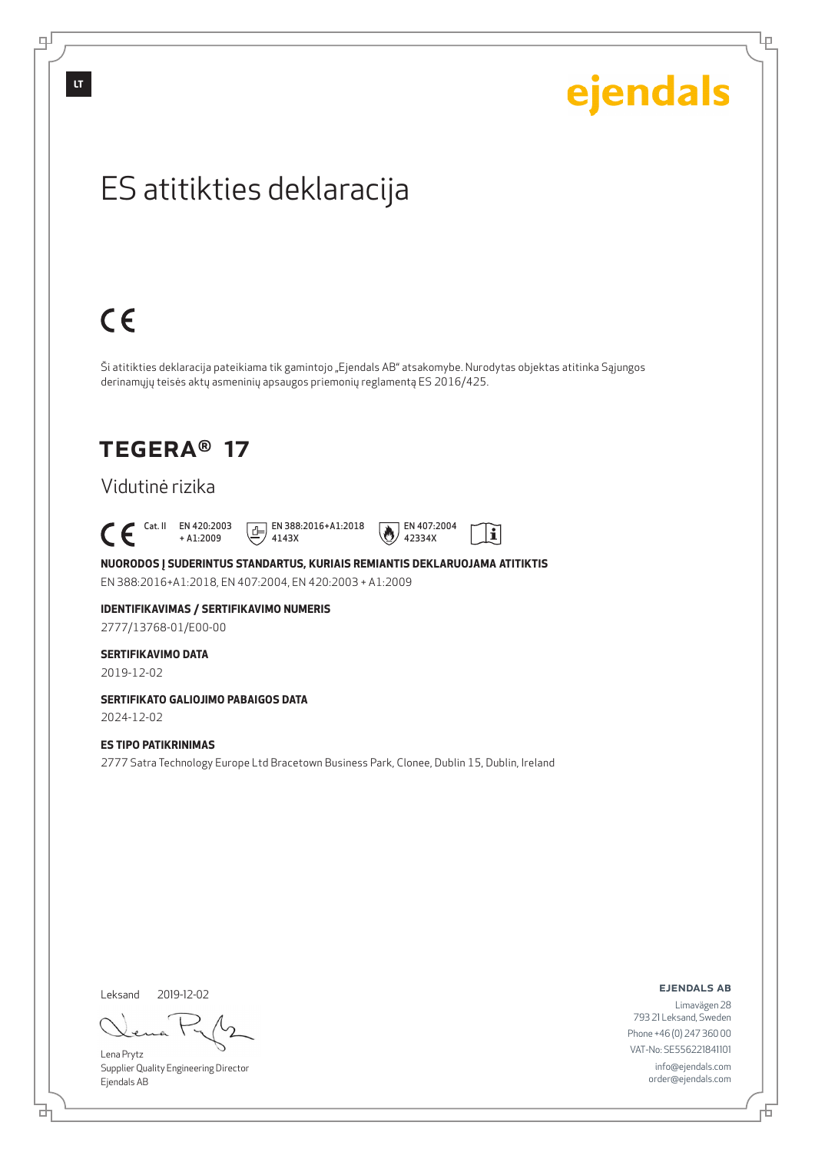# ejendals

Lρ

## ES atitikties deklaracija

# $C \in$

Ši atitikties deklaracija pateikiama tik gamintojo "Ejendals AB" atsakomybe. Nurodytas objektas atitinka Sąjungos derinamųjų teisės aktų asmeninių apsaugos priemonių reglamentą ES 2016/425.

### TEGERA® 17

### Vidutinė rizika

## $\begin{bmatrix} \text{Cat. II} & \text{EN }420:2003 \\ + A1:2009 \end{bmatrix}$

+ A1:2009





**NUORODOS Į SUDERINTUS STANDARTUS, KURIAIS REMIANTIS DEKLARUOJAMA ATITIKTIS** EN 388:2016+A1:2018, EN 407:2004, EN 420:2003 + A1:2009

## **IDENTIFIKAVIMAS / SERTIFIKAVIMO NUMERIS**

2777/13768-01/E00-00

#### **SERTIFIKAVIMO DATA**

2019-12-02

#### **SERTIFIKATO GALIOJIMO PABAIGOS DATA**

2024-12-02

#### **ES TIPO PATIKRINIMAS**

2777 Satra Technology Europe Ltd Bracetown Business Park, Clonee, Dublin 15, Dublin, Ireland

Leksand 2019-12-02

Lena Prytz Supplier Quality Engineering Director Ejendals AB

ejendals ab

Limavägen 28 793 21 Leksand, Sweden Phone +46 (0) 247 360 00 VAT-No: SE556221841101 info@ejendals.com order@ejendals.com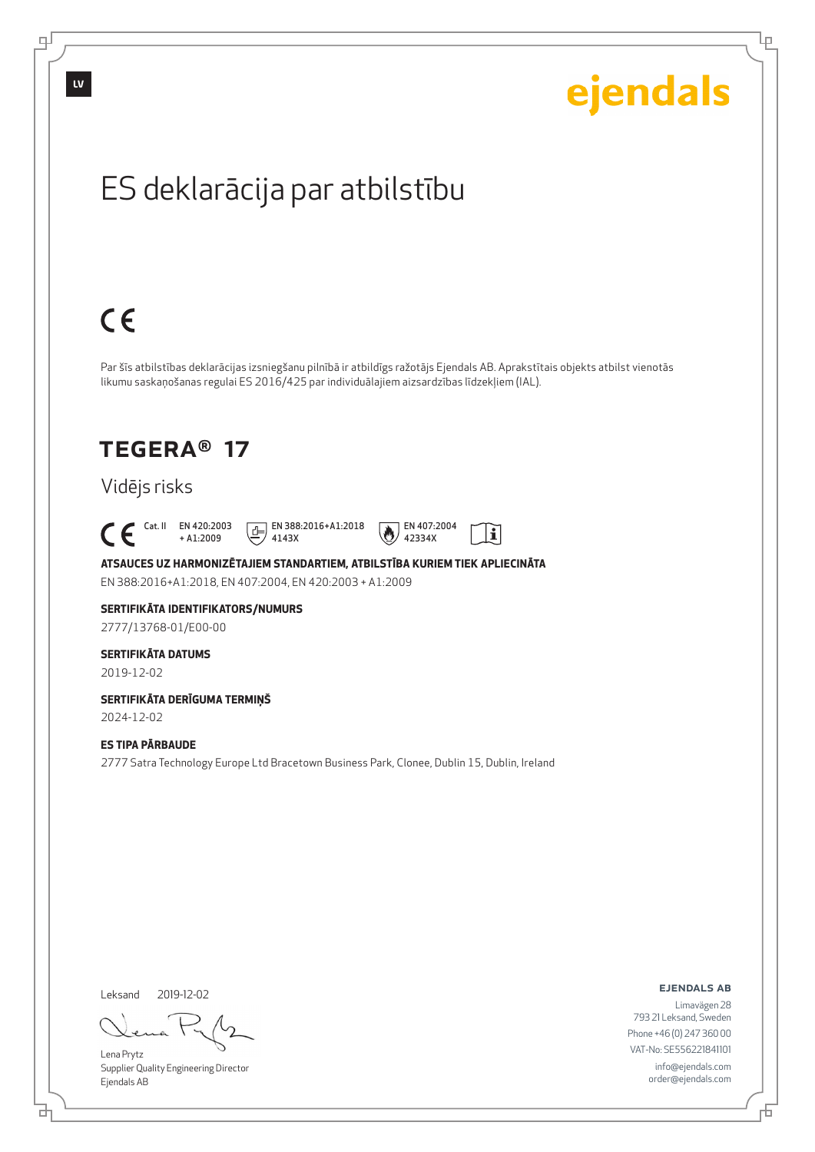

Lena Prytz Supplier Quality Engineering Director Ejendals AB

<u>다</u>

டி

Lρ

VAT-No: SE556221841101 info@ejendals.com order@ejendals.com

Đ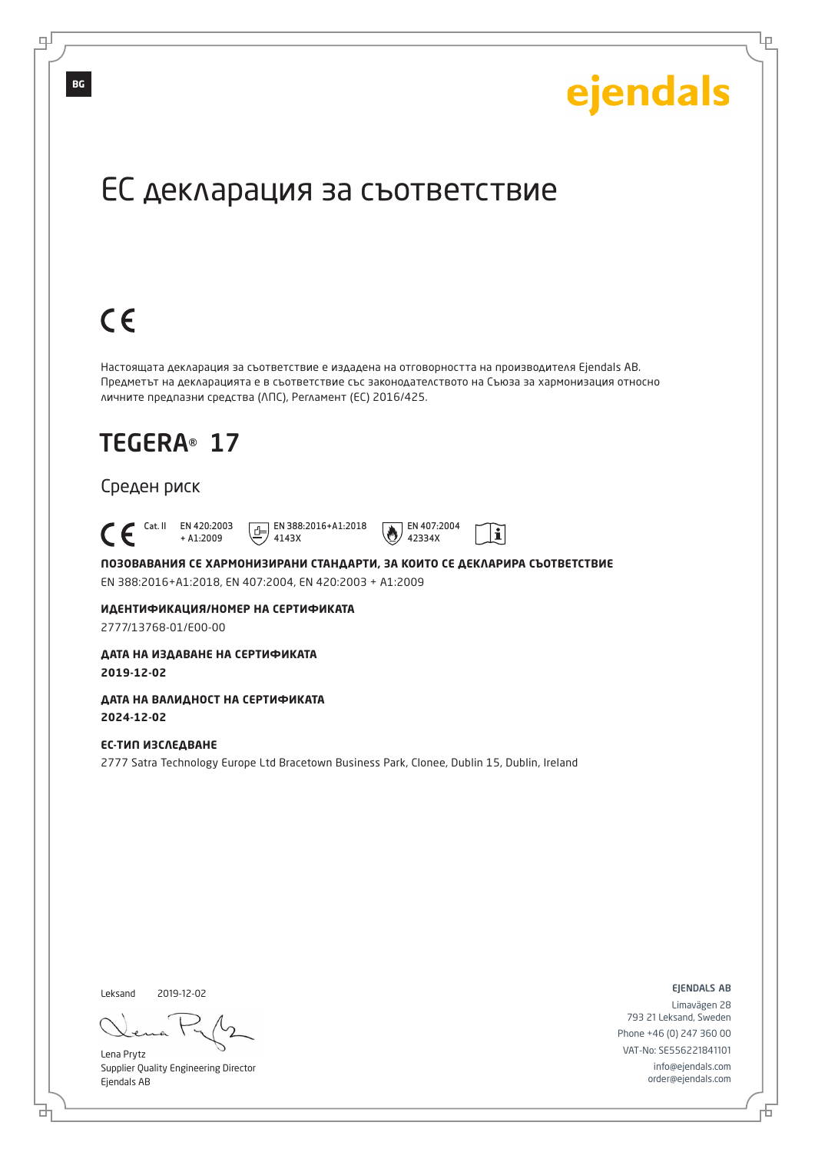## TEGERA® 17 Среден риск Cat. II EN 420:2003 + A1:2009  $E$  EN 388:2016+A1:2018 4143X EN 407:2004 42334X ЕС декларация за съответствие Настоящата декларация за съответствие е издадена на отговорността на производителя Ejendals AB. Предметът на декларацията е в съответствие със законодателството на Съюза за хармонизация относно личните предпазни средства (ЛПС), Регламент (ЕС) 2016/425.

**ПОЗОВАВАНИЯ СЕ ХАРМОНИЗИРАНИ СТАНДАРТИ, ЗА КОИТО СЕ ДЕКЛАРИРА СЪОТВЕТСТВИЕ** EN 388:2016+A1:2018, EN 407:2004, EN 420:2003 + A1:2009

 $\mathbf{i}$ 

**ИДЕНТИФИКАЦИЯ/НОМЕР НА СЕРТИФИКАТА** 2777/13768-01/E00-00

**ДАТА НА ИЗДАВАНЕ НА СЕРТИФИКАТА 2019-12-02**

**ДАТА НА ВАЛИДНОСТ НА СЕРТИФИКАТА 2024-12-02**

**ЕС-ТИП ИЗСЛЕДВАНЕ** 2777 Satra Technology Europe Ltd Bracetown Business Park, Clonee, Dublin 15, Dublin, Ireland

Leksand

브

2019-12-02

Lena Prytz Supplier Quality Engineering Director Ejendals AB

ejendals ab

Đ

Ļμ

ejendals

Limavägen 28 793 21 Leksand, Sweden Phone +46 (0) 247 360 00 VAT-No: SE556221841101 info@ejendals.com order@ejendals.com

**BG**

 $C \in$